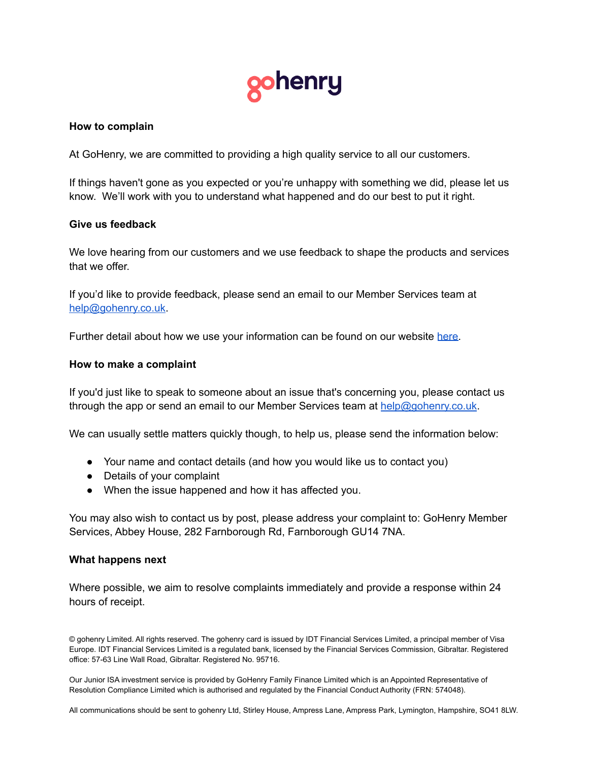

### **How to complain**

At GoHenry, we are committed to providing a high quality service to all our customers.

If things haven't gone as you expected or you're unhappy with something we did, please let us know. We'll work with you to understand what happened and do our best to put it right.

## **Give us feedback**

We love hearing from our customers and we use feedback to shape the products and services that we offer.

If you'd like to provide feedback, please send an email to our Member Services team at [help@gohenry.co.uk](mailto:help@gohenry.co.uk).

Further detail about how we use your information can be found on our website [here.](https://www.gohenry.com/uk/terms-and-conditions/privacy-policy/)

## **How to make a complaint**

If you'd just like to speak to someone about an issue that's concerning you, please contact us through the app or send an email to our Member Services team at [help@gohenry.co.uk](mailto:help@gohenry.co.uk).

We can usually settle matters quickly though, to help us, please send the information below:

- Your name and contact details (and how you would like us to contact you)
- Details of your complaint
- When the issue happened and how it has affected you.

You may also wish to contact us by post, please address your complaint to: GoHenry Member Services, Abbey House, 282 Farnborough Rd, Farnborough GU14 7NA.

#### **What happens next**

Where possible, we aim to resolve complaints immediately and provide a response within 24 hours of receipt.

© gohenry Limited. All rights reserved. The gohenry card is issued by IDT Financial Services Limited, a principal member of Visa Europe. IDT Financial Services Limited is a regulated bank, licensed by the Financial Services Commission, Gibraltar. Registered office: 57-63 Line Wall Road, Gibraltar. Registered No. 95716.

Our Junior ISA investment service is provided by GoHenry Family Finance Limited which is an Appointed Representative of Resolution Compliance Limited which is authorised and regulated by the Financial Conduct Authority (FRN: 574048).

All communications should be sent to gohenry Ltd, Stirley House, Ampress Lane, Ampress Park, Lymington, Hampshire, SO41 8LW.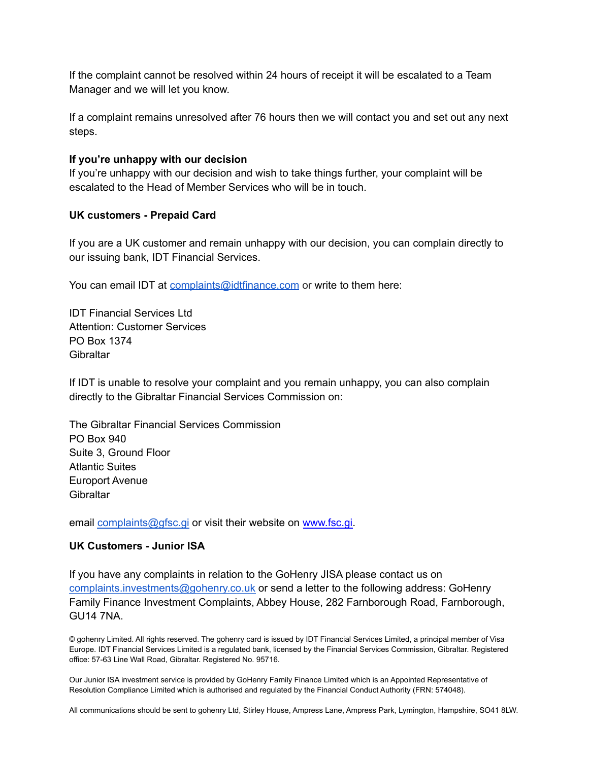If the complaint cannot be resolved within 24 hours of receipt it will be escalated to a Team Manager and we will let you know.

If a complaint remains unresolved after 76 hours then we will contact you and set out any next steps.

## **If you're unhappy with our decision**

If you're unhappy with our decision and wish to take things further, your complaint will be escalated to the Head of Member Services who will be in touch.

## **UK customers - Prepaid Card**

If you are a UK customer and remain unhappy with our decision, you can complain directly to our issuing bank, IDT Financial Services.

You can email IDT at [complaints@idtfinance.com](mailto:complaints@idtfinance.com) or write to them here:

IDT Financial Services Ltd Attention: Customer Services PO Box 1374 **Gibraltar** 

If IDT is unable to resolve your complaint and you remain unhappy, you can also complain directly to the Gibraltar Financial Services Commission on:

The Gibraltar Financial Services Commission PO Box 940 Suite 3, Ground Floor Atlantic Suites Europort Avenue **Gibraltar** 

email [complaints@gfsc.gi](mailto:complaints@gfsc.gi) or visit their website on [www.fsc.gi.](http://www.fsc.gi)

# **UK Customers - Junior ISA**

If you have any complaints in relation to the GoHenry JISA please contact us on [complaints.investments@gohenry.co.uk](mailto:complaints.investments@gohenry.co.uk) or send a letter to the following address: GoHenry Family Finance Investment Complaints, Abbey House, 282 Farnborough Road, Farnborough, GU14 7NA.

© gohenry Limited. All rights reserved. The gohenry card is issued by IDT Financial Services Limited, a principal member of Visa Europe. IDT Financial Services Limited is a regulated bank, licensed by the Financial Services Commission, Gibraltar. Registered office: 57-63 Line Wall Road, Gibraltar. Registered No. 95716.

Our Junior ISA investment service is provided by GoHenry Family Finance Limited which is an Appointed Representative of Resolution Compliance Limited which is authorised and regulated by the Financial Conduct Authority (FRN: 574048).

All communications should be sent to gohenry Ltd, Stirley House, Ampress Lane, Ampress Park, Lymington, Hampshire, SO41 8LW.